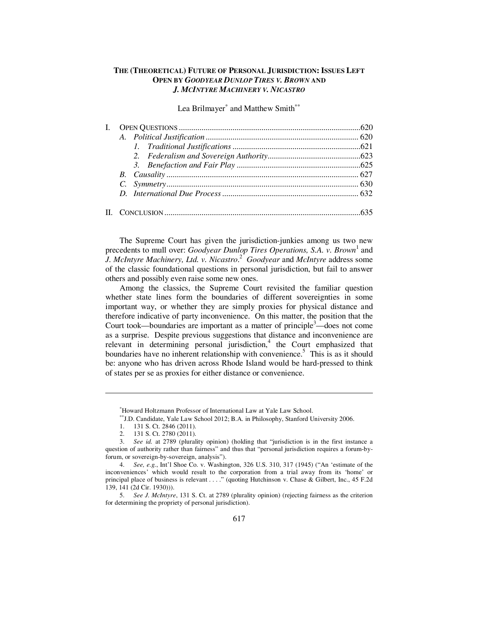# **THE (THEORETICAL) FUTURE OF PERSONAL JURISDICTION: ISSUES LEFT OPEN BY** *GOODYEAR DUNLOP TIRES V. BROWN* **AND**  *J. MCINTYRE MACHINERY V. NICASTRO*

Lea Brilmayer<sup>\*</sup> and Matthew Smith<sup>\*\*</sup>

The Supreme Court has given the jurisdiction-junkies among us two new precedents to mull over: *Goodyear Dunlop Tires Operations, S.A. v. Brown*<sup>1</sup> and *J. McIntyre Machinery, Ltd. v. Nicastro*. 2 *Goodyear* and *McIntyre* address some of the classic foundational questions in personal jurisdiction, but fail to answer others and possibly even raise some new ones.

Among the classics, the Supreme Court revisited the familiar question whether state lines form the boundaries of different sovereignties in some important way, or whether they are simply proxies for physical distance and therefore indicative of party inconvenience. On this matter, the position that the Court took—boundaries are important as a matter of principle<sup>3</sup>—does not come as a surprise. Despite previous suggestions that distance and inconvenience are relevant in determining personal jurisdiction,<sup>4</sup> the Court emphasized that boundaries have no inherent relationship with convenience.<sup>5</sup> This is as it should be: anyone who has driven across Rhode Island would be hard-pressed to think of states per se as proxies for either distance or convenience.

Howard Holtzmann Professor of International Law at Yale Law School.

J.D. Candidate, Yale Law School 2012; B.A. in Philosophy, Stanford University 2006.

<sup>1. 131</sup> S. Ct. 2846 (2011).

<sup>2. 131</sup> S. Ct. 2780 (2011).

<sup>3.</sup> *See id.* at 2789 (plurality opinion) (holding that "jurisdiction is in the first instance a question of authority rather than fairness" and thus that "personal jurisdiction requires a forum-byforum, or sovereign-by-sovereign, analysis").

<sup>4.</sup> *See, e.g.*, Int'l Shoe Co. v. Washington, 326 U.S. 310, 317 (1945) ("An 'estimate of the inconveniences' which would result to the corporation from a trial away from its 'home' or principal place of business is relevant . . . ." (quoting Hutchinson v. Chase & Gilbert, Inc., 45 F.2d 139, 141 (2d Cir. 1930))).

<sup>5.</sup> *See J. McIntyre*, 131 S. Ct. at 2789 (plurality opinion) (rejecting fairness as the criterion for determining the propriety of personal jurisdiction).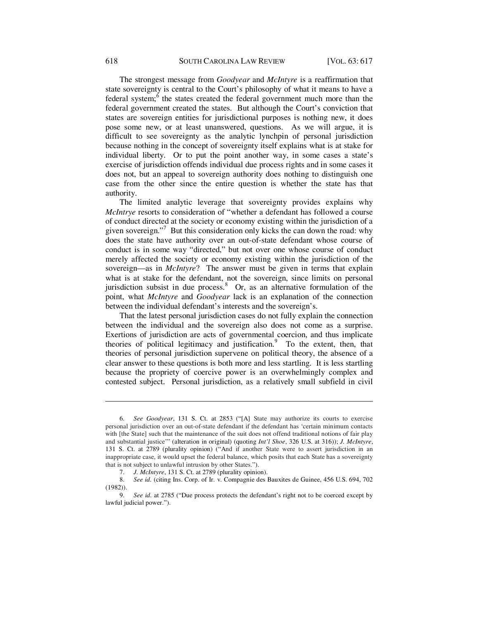The strongest message from *Goodyear* and *McIntyre* is a reaffirmation that state sovereignty is central to the Court's philosophy of what it means to have a federal system;  $\frac{6}{3}$  the states created the federal government much more than the federal government created the states. But although the Court's conviction that states are sovereign entities for jurisdictional purposes is nothing new, it does pose some new, or at least unanswered, questions. As we will argue, it is difficult to see sovereignty as the analytic lynchpin of personal jurisdiction because nothing in the concept of sovereignty itself explains what is at stake for individual liberty. Or to put the point another way, in some cases a state's exercise of jurisdiction offends individual due process rights and in some cases it does not, but an appeal to sovereign authority does nothing to distinguish one case from the other since the entire question is whether the state has that authority.

The limited analytic leverage that sovereignty provides explains why *McIntrye* resorts to consideration of "whether a defendant has followed a course of conduct directed at the society or economy existing within the jurisdiction of a given sovereign."<sup>7</sup> But this consideration only kicks the can down the road: why does the state have authority over an out-of-state defendant whose course of conduct is in some way "directed," but not over one whose course of conduct merely affected the society or economy existing within the jurisdiction of the sovereign—as in *McIntyre*? The answer must be given in terms that explain what is at stake for the defendant, not the sovereign, since limits on personal jurisdiction subsist in due process. $8$  Or, as an alternative formulation of the point, what *McIntyre* and *Goodyear* lack is an explanation of the connection between the individual defendant's interests and the sovereign's.

That the latest personal jurisdiction cases do not fully explain the connection between the individual and the sovereign also does not come as a surprise. Exertions of jurisdiction are acts of governmental coercion, and thus implicate theories of political legitimacy and justification.<sup>9</sup> To the extent, then, that theories of personal jurisdiction supervene on political theory, the absence of a clear answer to these questions is both more and less startling. It is less startling because the propriety of coercive power is an overwhelmingly complex and contested subject. Personal jurisdiction, as a relatively small subfield in civil

<sup>6.</sup> *See Goodyear*, 131 S. Ct. at 2853 ("[A] State may authorize its courts to exercise personal jurisdiction over an out-of-state defendant if the defendant has 'certain minimum contacts with [the State] such that the maintenance of the suit does not offend traditional notions of fair play and substantial justice'" (alteration in original) (quoting *Int'l Shoe*, 326 U.S. at 316)); *J. McIntyre*, 131 S. Ct. at 2789 (plurality opinion) ("And if another State were to assert jurisdiction in an inappropriate case, it would upset the federal balance, which posits that each State has a sovereignty that is not subject to unlawful intrusion by other States.").

<sup>7.</sup> *J. McIntyre*, 131 S. Ct. at 2789 (plurality opinion).

<sup>8.</sup> *See id.* (citing Ins. Corp. of Ir. v. Compagnie des Bauxites de Guinee, 456 U.S. 694, 702 (1982)).

See id. at 2785 ("Due process protects the defendant's right not to be coerced except by lawful judicial power.").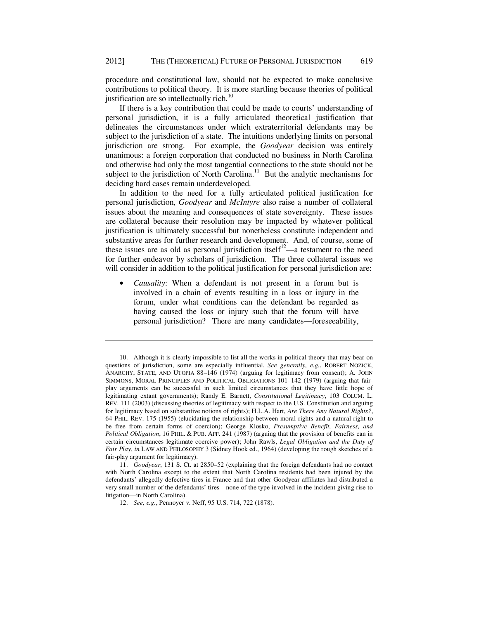procedure and constitutional law, should not be expected to make conclusive contributions to political theory. It is more startling because theories of political justification are so intellectually rich.<sup>10</sup>

If there is a key contribution that could be made to courts' understanding of personal jurisdiction, it is a fully articulated theoretical justification that delineates the circumstances under which extraterritorial defendants may be subject to the jurisdiction of a state. The intuitions underlying limits on personal jurisdiction are strong. For example, the *Goodyear* decision was entirely unanimous: a foreign corporation that conducted no business in North Carolina and otherwise had only the most tangential connections to the state should not be subject to the jurisdiction of North Carolina.<sup>11</sup> But the analytic mechanisms for deciding hard cases remain underdeveloped.

In addition to the need for a fully articulated political justification for personal jurisdiction, *Goodyear* and *McIntyre* also raise a number of collateral issues about the meaning and consequences of state sovereignty. These issues are collateral because their resolution may be impacted by whatever political justification is ultimately successful but nonetheless constitute independent and substantive areas for further research and development. And, of course, some of these issues are as old as personal jurisdiction itself<sup>12</sup>—a testament to the need for further endeavor by scholars of jurisdiction. The three collateral issues we will consider in addition to the political justification for personal jurisdiction are:

 *Causality*: When a defendant is not present in a forum but is involved in a chain of events resulting in a loss or injury in the forum, under what conditions can the defendant be regarded as having caused the loss or injury such that the forum will have personal jurisdiction? There are many candidates—foreseeability,

<sup>10.</sup> Although it is clearly impossible to list all the works in political theory that may bear on questions of jurisdiction, some are especially influential. *See generally, e.g.*, ROBERT NOZICK, ANARCHY, STATE, AND UTOPIA 88–146 (1974) (arguing for legitimacy from consent); A. JOHN SIMMONS, MORAL PRINCIPLES AND POLITICAL OBLIGATIONS 101–142 (1979) (arguing that fairplay arguments can be successful in such limited circumstances that they have little hope of legitimating extant governments); Randy E. Barnett, *Constitutional Legitimacy*, 103 COLUM. L. REV. 111 (2003) (discussing theories of legitimacy with respect to the U.S. Constitution and arguing for legitimacy based on substantive notions of rights); H.L.A. Hart, *Are There Any Natural Rights?*, 64 PHIL. REV. 175 (1955) (elucidating the relationship between moral rights and a natural right to be free from certain forms of coercion); George Klosko, *Presumptive Benefit, Fairness, and Political Obligation*, 16 PHIL. & PUB. AFF. 241 (1987) (arguing that the provision of benefits can in certain circumstances legitimate coercive power); John Rawls, *Legal Obligation and the Duty of Fair Play*, *in* LAW AND PHILOSOPHY 3 (Sidney Hook ed., 1964) (developing the rough sketches of a fair-play argument for legitimacy).

<sup>11.</sup> *Goodyear*, 131 S. Ct. at 2850–52 (explaining that the foreign defendants had no contact with North Carolina except to the extent that North Carolina residents had been injured by the defendants' allegedly defective tires in France and that other Goodyear affiliates had distributed a very small number of the defendants' tires—none of the type involved in the incident giving rise to litigation—in North Carolina).

<sup>12.</sup> *See, e.g.*, Pennoyer v. Neff, 95 U.S. 714, 722 (1878).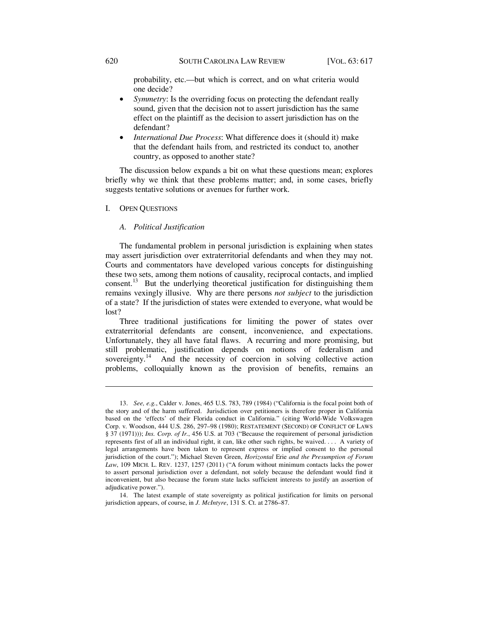probability, etc.—but which is correct, and on what criteria would one decide?

- *Symmetry*: Is the overriding focus on protecting the defendant really sound, given that the decision not to assert jurisdiction has the same effect on the plaintiff as the decision to assert jurisdiction has on the defendant?
- *International Due Process*: What difference does it (should it) make that the defendant hails from, and restricted its conduct to, another country, as opposed to another state?

The discussion below expands a bit on what these questions mean; explores briefly why we think that these problems matter; and, in some cases, briefly suggests tentative solutions or avenues for further work.

I. OPEN QUESTIONS

## *A. Political Justification*

The fundamental problem in personal jurisdiction is explaining when states may assert jurisdiction over extraterritorial defendants and when they may not. Courts and commentators have developed various concepts for distinguishing these two sets, among them notions of causality, reciprocal contacts, and implied consent.<sup>13</sup> But the underlying theoretical justification for distinguishing them remains vexingly illusive. Why are there persons *not subject* to the jurisdiction of a state? If the jurisdiction of states were extended to everyone, what would be lost?

Three traditional justifications for limiting the power of states over extraterritorial defendants are consent, inconvenience, and expectations. Unfortunately, they all have fatal flaws. A recurring and more promising, but still problematic, justification depends on notions of federalism and sovereignty.<sup>14</sup> And the necessity of coercion in solving collective action problems, colloquially known as the provision of benefits, remains an

<sup>13.</sup> *See, e.g.*, Calder v. Jones, 465 U.S. 783, 789 (1984) ("California is the focal point both of the story and of the harm suffered. Jurisdiction over petitioners is therefore proper in California based on the 'effects' of their Florida conduct in California." (citing World-Wide Volkswagen Corp. v. Woodson, 444 U.S. 286, 297–98 (1980); RESTATEMENT (SECOND) OF CONFLICT OF LAWS § 37 (1971))); *Ins. Corp. of Ir.*, 456 U.S. at 703 ("Because the requirement of personal jurisdiction represents first of all an individual right, it can, like other such rights, be waived. . . . A variety of legal arrangements have been taken to represent express or implied consent to the personal jurisdiction of the court."); Michael Steven Green, *Horizontal* Erie *and the Presumption of Forum Law*, 109 MICH. L. REV. 1237, 1257 (2011) ("A forum without minimum contacts lacks the power to assert personal jurisdiction over a defendant, not solely because the defendant would find it inconvenient, but also because the forum state lacks sufficient interests to justify an assertion of adjudicative power.").

<sup>14.</sup> The latest example of state sovereignty as political justification for limits on personal jurisdiction appears, of course, in *J. McIntyre*, 131 S. Ct. at 2786–87.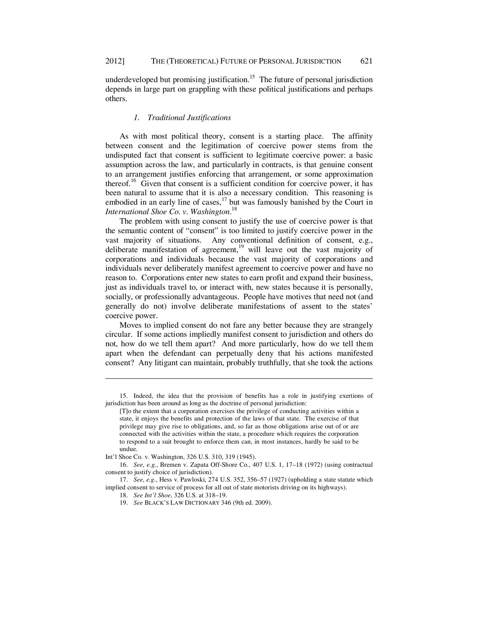underdeveloped but promising justification.<sup>15</sup> The future of personal jurisdiction depends in large part on grappling with these political justifications and perhaps others.

## *1. Traditional Justifications*

As with most political theory, consent is a starting place. The affinity between consent and the legitimation of coercive power stems from the undisputed fact that consent is sufficient to legitimate coercive power: a basic assumption across the law, and particularly in contracts, is that genuine consent to an arrangement justifies enforcing that arrangement, or some approximation thereof.<sup>16</sup> Given that consent is a sufficient condition for coercive power, it has been natural to assume that it is also a necessary condition. This reasoning is embodied in an early line of cases,<sup>17</sup> but was famously banished by the Court in *International Shoe Co. v. Washington*. 18

The problem with using consent to justify the use of coercive power is that the semantic content of "consent" is too limited to justify coercive power in the vast majority of situations. Any conventional definition of consent, e.g., deliberate manifestation of agreement,<sup>19</sup> will leave out the vast majority of corporations and individuals because the vast majority of corporations and individuals never deliberately manifest agreement to coercive power and have no reason to. Corporations enter new states to earn profit and expand their business, just as individuals travel to, or interact with, new states because it is personally, socially, or professionally advantageous. People have motives that need not (and generally do not) involve deliberate manifestations of assent to the states' coercive power.

Moves to implied consent do not fare any better because they are strangely circular. If some actions impliedly manifest consent to jurisdiction and others do not, how do we tell them apart? And more particularly, how do we tell them apart when the defendant can perpetually deny that his actions manifested consent? Any litigant can maintain, probably truthfully, that she took the actions

<sup>15.</sup> Indeed, the idea that the provision of benefits has a role in justifying exertions of jurisdiction has been around as long as the doctrine of personal jurisdiction:

<sup>[</sup>T]o the extent that a corporation exercises the privilege of conducting activities within a state, it enjoys the benefits and protection of the laws of that state. The exercise of that privilege may give rise to obligations, and, so far as those obligations arise out of or are connected with the activities within the state, a procedure which requires the corporation to respond to a suit brought to enforce them can, in most instances, hardly be said to be undue.

Int'l Shoe Co. v. Washington, 326 U.S. 310, 319 (1945).

<sup>16.</sup> *See, e.g.*, Bremen v. Zapata Off-Shore Co., 407 U.S. 1, 17–18 (1972) (using contractual consent to justify choice of jurisdiction).

<sup>17.</sup> *See, e.g.*, Hess v. Pawloski, 274 U.S. 352, 356–57 (1927) (upholding a state statute which implied consent to service of process for all out of state motorists driving on its highways).

<sup>18.</sup> *See Int'l Shoe*, 326 U.S. at 318–19.

<sup>19.</sup> *See* BLACK'S LAW DICTIONARY 346 (9th ed. 2009).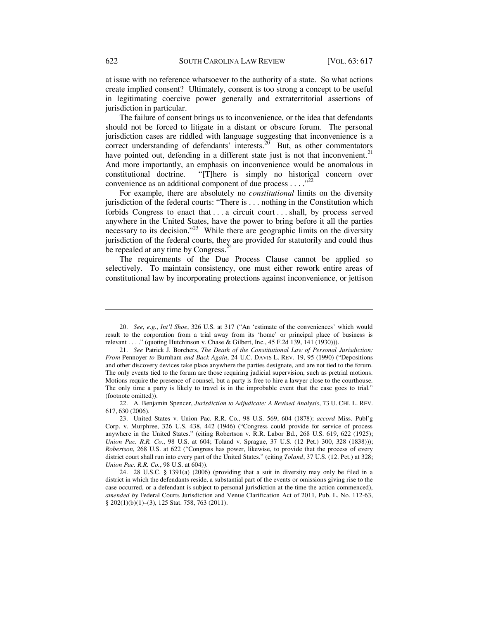at issue with no reference whatsoever to the authority of a state. So what actions create implied consent? Ultimately, consent is too strong a concept to be useful in legitimating coercive power generally and extraterritorial assertions of jurisdiction in particular.

The failure of consent brings us to inconvenience, or the idea that defendants should not be forced to litigate in a distant or obscure forum. The personal jurisdiction cases are riddled with language suggesting that inconvenience is a correct understanding of defendants' interests.<sup>20</sup> But, as other commentators have pointed out, defending in a different state just is not that inconvenient.<sup>21</sup> And more importantly, an emphasis on inconvenience would be anomalous in constitutional doctrine. "[T]here is simply no historical concern over convenience as an additional component of due process  $\dots$ ."

For example, there are absolutely no *constitutional* limits on the diversity jurisdiction of the federal courts: "There is . . . nothing in the Constitution which forbids Congress to enact that . . . a circuit court . . . shall, by process served anywhere in the United States, have the power to bring before it all the parties necessary to its decision."<sup>23</sup> While there are geographic limits on the diversity jurisdiction of the federal courts, they are provided for statutorily and could thus be repealed at any time by Congress.<sup>2</sup>

The requirements of the Due Process Clause cannot be applied so selectively. To maintain consistency, one must either rework entire areas of constitutional law by incorporating protections against inconvenience, or jettison

<sup>20.</sup> *See, e.g.*, *Int'l Shoe*, 326 U.S. at 317 ("An 'estimate of the conveniences' which would result to the corporation from a trial away from its 'home' or principal place of business is relevant . . . ." (quoting Hutchinson v. Chase & Gilbert, Inc., 45 F.2d 139, 141 (1930))).

<sup>21.</sup> *See* Patrick J. Borchers, *The Death of the Constitutional Law of Personal Jurisdiction: From* Pennoyer *to* Burnham *and Back Again*, 24 U.C. DAVIS L. REV. 19, 95 (1990) ("Depositions and other discovery devices take place anywhere the parties designate, and are not tied to the forum. The only events tied to the forum are those requiring judicial supervision, such as pretrial motions. Motions require the presence of counsel, but a party is free to hire a lawyer close to the courthouse. The only time a party is likely to travel is in the improbable event that the case goes to trial." (footnote omitted)).

<sup>22.</sup> A. Benjamin Spencer, *Jurisdiction to Adjudicate: A Revised Analysis*, 73 U. CHI. L. REV. 617, 630 (2006).

<sup>23.</sup> United States v. Union Pac. R.R. Co., 98 U.S. 569, 604 (1878); *accord* Miss. Publ'g Corp. v. Murphree, 326 U.S. 438, 442 (1946) ("Congress could provide for service of process anywhere in the United States." (citing Robertson v. R.R. Labor Bd., 268 U.S. 619, 622 (1925); *Union Pac. R.R. Co.*, 98 U.S. at 604; Toland v. Sprague, 37 U.S. (12 Pet.) 300, 328 (1838))); *Robertson*, 268 U.S. at 622 ("Congress has power, likewise, to provide that the process of every district court shall run into every part of the United States." (citing *Toland*, 37 U.S. (12. Pet.) at 328; *Union Pac. R.R. Co.*, 98 U.S. at 604)).

<sup>24. 28</sup> U.S.C. § 1391(a) (2006) (providing that a suit in diversity may only be filed in a district in which the defendants reside, a substantial part of the events or omissions giving rise to the case occurred, or a defendant is subject to personal jurisdiction at the time the action commenced), *amended by* Federal Courts Jurisdiction and Venue Clarification Act of 2011, Pub. L. No. 112-63, § 202(1)(b)(1)–(3), 125 Stat. 758, 763 (2011).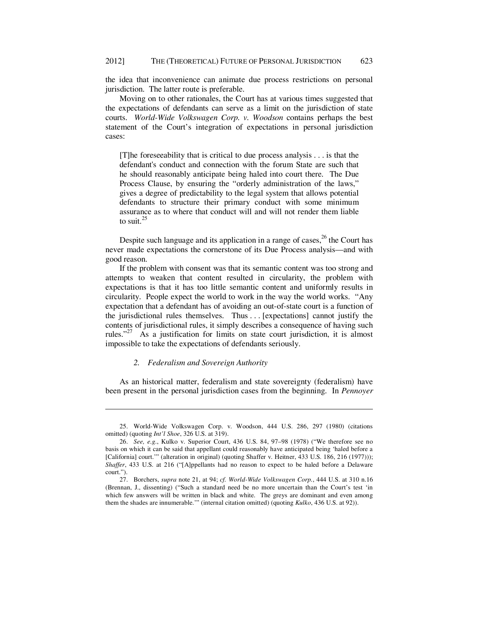the idea that inconvenience can animate due process restrictions on personal jurisdiction. The latter route is preferable.

Moving on to other rationales, the Court has at various times suggested that the expectations of defendants can serve as a limit on the jurisdiction of state courts. *World-Wide Volkswagen Corp. v. Woodson* contains perhaps the best statement of the Court's integration of expectations in personal jurisdiction cases:

[T]he foreseeability that is critical to due process analysis . . . is that the defendant's conduct and connection with the forum State are such that he should reasonably anticipate being haled into court there. The Due Process Clause, by ensuring the "orderly administration of the laws," gives a degree of predictability to the legal system that allows potential defendants to structure their primary conduct with some minimum assurance as to where that conduct will and will not render them liable to suit. $^{25}$ 

Despite such language and its application in a range of cases, $^{26}$  the Court has never made expectations the cornerstone of its Due Process analysis—and with good reason.

If the problem with consent was that its semantic content was too strong and attempts to weaken that content resulted in circularity, the problem with expectations is that it has too little semantic content and uniformly results in circularity. People expect the world to work in the way the world works. "Any expectation that a defendant has of avoiding an out-of-state court is a function of the jurisdictional rules themselves. Thus . . . [expectations] cannot justify the contents of jurisdictional rules, it simply describes a consequence of having such rules."<sup>27</sup> As a justification for limits on state court jurisdiction, it is almost impossible to take the expectations of defendants seriously.

## *2. Federalism and Sovereign Authority*

<u>.</u>

As an historical matter, federalism and state sovereignty (federalism) have been present in the personal jurisdiction cases from the beginning. In *Pennoyer* 

<sup>25.</sup> World-Wide Volkswagen Corp. v. Woodson, 444 U.S. 286, 297 (1980) (citations omitted) (quoting *Int'l Shoe*, 326 U.S. at 319).

<sup>26.</sup> *See, e.g.*, Kulko v. Superior Court, 436 U.S. 84, 97–98 (1978) ("We therefore see no basis on which it can be said that appellant could reasonably have anticipated being 'haled before a [California] court."" (alteration in original) (quoting Shaffer v. Heitner, 433 U.S. 186, 216 (1977))); *Shaffer*, 433 U.S. at 216 ("[A]ppellants had no reason to expect to be haled before a Delaware court.").

<sup>27.</sup> Borchers, *supra* note 21, at 94; *cf. World-Wide Volkswagen Corp.*, 444 U.S. at 310 n.16 (Brennan, J., dissenting) ("Such a standard need be no more uncertain than the Court's test 'in which few answers will be written in black and white. The greys are dominant and even among them the shades are innumerable.'" (internal citation omitted) (quoting *Kulko*, 436 U.S. at 92)).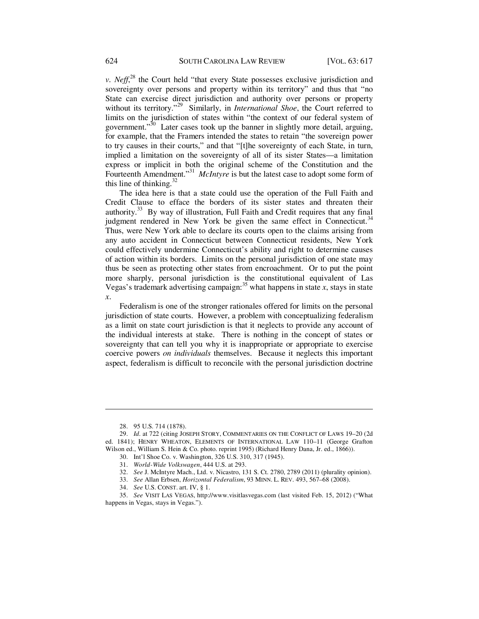*v. Neff*<sup>28</sup> the Court held "that every State possesses exclusive jurisdiction and sovereignty over persons and property within its territory" and thus that "no State can exercise direct jurisdiction and authority over persons or property without its territory."<sup>29</sup> Similarly, in *International Shoe*, the Court referred to limits on the jurisdiction of states within "the context of our federal system of government."<sup>30</sup> Later cases took up the banner in slightly more detail, arguing, for example, that the Framers intended the states to retain "the sovereign power to try causes in their courts," and that "[t]he sovereignty of each State, in turn, implied a limitation on the sovereignty of all of its sister States—a limitation express or implicit in both the original scheme of the Constitution and the Fourteenth Amendment."<sup>31</sup> *McIntyre* is but the latest case to adopt some form of this line of thinking. $32$ 

The idea here is that a state could use the operation of the Full Faith and Credit Clause to efface the borders of its sister states and threaten their authority.33 By way of illustration, Full Faith and Credit requires that any final judgment rendered in New York be given the same effect in Connecticut.<sup>34</sup> Thus, were New York able to declare its courts open to the claims arising from any auto accident in Connecticut between Connecticut residents, New York could effectively undermine Connecticut's ability and right to determine causes of action within its borders. Limits on the personal jurisdiction of one state may thus be seen as protecting other states from encroachment. Or to put the point more sharply, personal jurisdiction is the constitutional equivalent of Las Vegas's trademark advertising campaign:<sup>35</sup> what happens in state *x*, stays in state *x*.

Federalism is one of the stronger rationales offered for limits on the personal jurisdiction of state courts. However, a problem with conceptualizing federalism as a limit on state court jurisdiction is that it neglects to provide any account of the individual interests at stake. There is nothing in the concept of states or sovereignty that can tell you why it is inappropriate or appropriate to exercise coercive powers *on individuals* themselves. Because it neglects this important aspect, federalism is difficult to reconcile with the personal jurisdiction doctrine

<sup>28. 95</sup> U.S. 714 (1878).

<sup>29.</sup> *Id.* at 722 (citing JOSEPH STORY, COMMENTARIES ON THE CONFLICT OF LAWS 19–20 (2d ed. 1841); HENRY WHEATON, ELEMENTS OF INTERNATIONAL LAW 110–11 (George Grafton Wilson ed., William S. Hein & Co. photo. reprint 1995) (Richard Henry Dana, Jr. ed., 1866)).

<sup>30.</sup> Int'l Shoe Co. v. Washington, 326 U.S. 310, 317 (1945).

<sup>31.</sup> *World-Wide Volkswagen*, 444 U.S. at 293.

<sup>32.</sup> *See* J. McIntyre Mach., Ltd. v. Nicastro, 131 S. Ct. 2780, 2789 (2011) (plurality opinion).

<sup>33.</sup> *See* Allan Erbsen, *Horizontal Federalism*, 93 MINN. L. REV. 493, 567–68 (2008).

<sup>34.</sup> *See* U.S. CONST. art. IV, § 1.

<sup>35.</sup> *See* VISIT LAS VEGAS, http://www.visitlasvegas.com (last visited Feb. 15, 2012) ("What happens in Vegas, stays in Vegas.").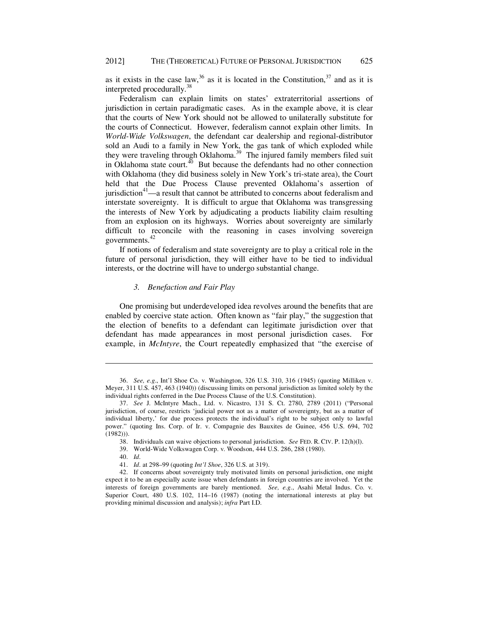as it exists in the case law,  $36$  as it is located in the Constitution,  $37$  and as it is interpreted procedurally.<sup>3</sup>

Federalism can explain limits on states' extraterritorial assertions of jurisdiction in certain paradigmatic cases. As in the example above, it is clear that the courts of New York should not be allowed to unilaterally substitute for the courts of Connecticut. However, federalism cannot explain other limits. In *World-Wide Volkswagen*, the defendant car dealership and regional-distributor sold an Audi to a family in New York, the gas tank of which exploded while they were traveling through Oklahoma.<sup>39</sup> The injured family members filed suit in Oklahoma state court. $40$  But because the defendants had no other connection with Oklahoma (they did business solely in New York's tri-state area), the Court held that the Due Process Clause prevented Oklahoma's assertion of jurisdiction $4<sup>4</sup>$ —a result that cannot be attributed to concerns about federalism and interstate sovereignty. It is difficult to argue that Oklahoma was transgressing the interests of New York by adjudicating a products liability claim resulting from an explosion on its highways. Worries about sovereignty are similarly difficult to reconcile with the reasoning in cases involving sovereign governments.<sup>42</sup>

If notions of federalism and state sovereignty are to play a critical role in the future of personal jurisdiction, they will either have to be tied to individual interests, or the doctrine will have to undergo substantial change.

# *3. Benefaction and Fair Play*

One promising but underdeveloped idea revolves around the benefits that are enabled by coercive state action. Often known as "fair play," the suggestion that the election of benefits to a defendant can legitimate jurisdiction over that defendant has made appearances in most personal jurisdiction cases. For example, in *McIntyre*, the Court repeatedly emphasized that "the exercise of

39. World-Wide Volkswagen Corp. v. Woodson, 444 U.S. 286, 288 (1980).

<sup>36.</sup> *See, e.g*., Int'l Shoe Co. v. Washington, 326 U.S. 310, 316 (1945) (quoting Milliken v. Meyer, 311 U.S. 457, 463 (1940)) (discussing limits on personal jurisdiction as limited solely by the individual rights conferred in the Due Process Clause of the U.S. Constitution).

<sup>37.</sup> *See* J. McIntyre Mach., Ltd. v. Nicastro, 131 S. Ct. 2780, 2789 (2011) ("Personal jurisdiction, of course, restricts 'judicial power not as a matter of sovereignty, but as a matter of individual liberty,' for due process protects the individual's right to be subject only to lawful power." (quoting Ins. Corp. of Ir. v. Compagnie des Bauxites de Guinee, 456 U.S. 694, 702 (1982))).

<sup>38.</sup> Individuals can waive objections to personal jurisdiction. *See* FED. R. CIV. P. 12(h)(l).

<sup>40.</sup> *Id.* 

<sup>41.</sup> *Id.* at 298–99 (quoting *Int'l Shoe*, 326 U.S. at 319).

<sup>42.</sup> If concerns about sovereignty truly motivated limits on personal jurisdiction, one might expect it to be an especially acute issue when defendants in foreign countries are involved. Yet the interests of foreign governments are barely mentioned. *See, e.g.*, Asahi Metal Indus. Co. v. Superior Court, 480 U.S. 102, 114–16 (1987) (noting the international interests at play but providing minimal discussion and analysis); *infra* Part I.D.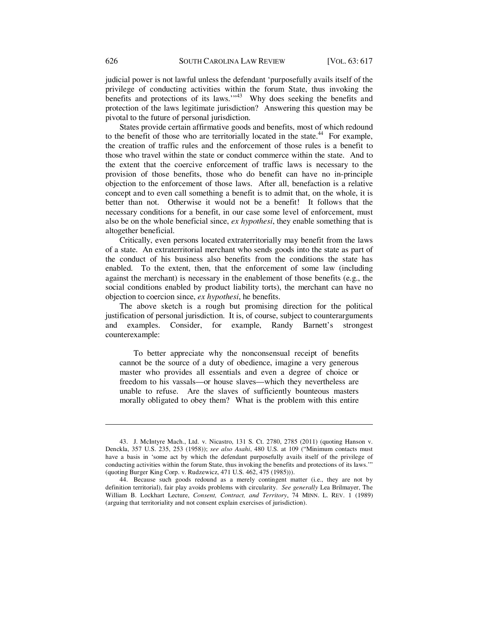judicial power is not lawful unless the defendant 'purposefully avails itself of the privilege of conducting activities within the forum State, thus invoking the benefits and protections of its laws."<sup>43</sup> Why does seeking the benefits and protection of the laws legitimate jurisdiction? Answering this question may be pivotal to the future of personal jurisdiction.

States provide certain affirmative goods and benefits, most of which redound to the benefit of those who are territorially located in the state.<sup>44</sup> For example, the creation of traffic rules and the enforcement of those rules is a benefit to those who travel within the state or conduct commerce within the state. And to the extent that the coercive enforcement of traffic laws is necessary to the provision of those benefits, those who do benefit can have no in-principle objection to the enforcement of those laws. After all, benefaction is a relative concept and to even call something a benefit is to admit that, on the whole, it is better than not. Otherwise it would not be a benefit! It follows that the necessary conditions for a benefit, in our case some level of enforcement, must also be on the whole beneficial since, *ex hypothesi*, they enable something that is altogether beneficial.

Critically, even persons located extraterritorially may benefit from the laws of a state. An extraterritorial merchant who sends goods into the state as part of the conduct of his business also benefits from the conditions the state has enabled. To the extent, then, that the enforcement of some law (including against the merchant) is necessary in the enablement of those benefits (e.g., the social conditions enabled by product liability torts), the merchant can have no objection to coercion since, *ex hypothesi*, he benefits.

The above sketch is a rough but promising direction for the political justification of personal jurisdiction. It is, of course, subject to counterarguments and examples. Consider, for example, Randy Barnett's strongest counterexample:

To better appreciate why the nonconsensual receipt of benefits cannot be the source of a duty of obedience, imagine a very generous master who provides all essentials and even a degree of choice or freedom to his vassals—or house slaves—which they nevertheless are unable to refuse. Are the slaves of sufficiently bounteous masters morally obligated to obey them? What is the problem with this entire

<sup>43.</sup> J. McIntyre Mach., Ltd. v. Nicastro, 131 S. Ct. 2780, 2785 (2011) (quoting Hanson v. Denckla, 357 U.S. 235, 253 (1958)); *see also Asahi*, 480 U.S. at 109 ("Minimum contacts must have a basis in 'some act by which the defendant purposefully avails itself of the privilege of conducting activities within the forum State, thus invoking the benefits and protections of its laws.'" (quoting Burger King Corp. v. Rudzewicz, 471 U.S. 462, 475 (1985))).

<sup>44.</sup> Because such goods redound as a merely contingent matter (i.e., they are not by definition territorial), fair play avoids problems with circularity. *See generally* Lea Brilmayer, The William B. Lockhart Lecture, *Consent, Contract, and Territory*, 74 MINN. L. REV. 1 (1989) (arguing that territoriality and not consent explain exercises of jurisdiction).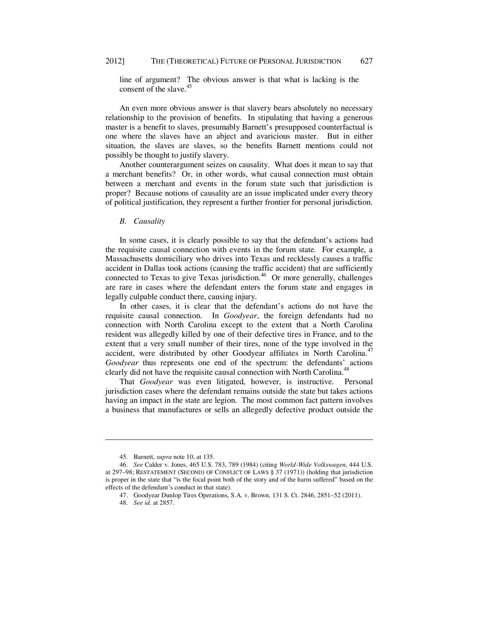line of argument? The obvious answer is that what is lacking is the consent of the slave. $45$ 

An even more obvious answer is that slavery bears absolutely no necessary relationship to the provision of benefits. In stipulating that having a generous master is a benefit to slaves, presumably Barnett's presupposed counterfactual is one where the slaves have an abject and avaricious master. But in either situation, the slaves are slaves, so the benefits Barnett mentions could not possibly be thought to justify slavery.

Another counterargument seizes on causality. What does it mean to say that a merchant benefits? Or, in other words, what causal connection must obtain between a merchant and events in the forum state such that jurisdiction is proper? Because notions of causality are an issue implicated under every theory of political justification, they represent a further frontier for personal jurisdiction.

## *B. Causality*

In some cases, it is clearly possible to say that the defendant's actions had the requisite causal connection with events in the forum state. For example, a Massachusetts domiciliary who drives into Texas and recklessly causes a traffic accident in Dallas took actions (causing the traffic accident) that are sufficiently connected to Texas to give Texas jurisdiction.<sup>46</sup> Or more generally, challenges are rare in cases where the defendant enters the forum state and engages in legally culpable conduct there, causing injury.

In other cases, it is clear that the defendant's actions do not have the requisite causal connection. In *Goodyear*, the foreign defendants had no connection with North Carolina except to the extent that a North Carolina resident was allegedly killed by one of their defective tires in France, and to the extent that a very small number of their tires, none of the type involved in the accident, were distributed by other Goodyear affiliates in North Carolina.<sup>47</sup> *Goodyear* thus represents one end of the spectrum: the defendants' actions clearly did not have the requisite causal connection with North Carolina.<sup>48</sup>

That *Goodyear* was even litigated, however, is instructive. Personal jurisdiction cases where the defendant remains outside the state but takes actions having an impact in the state are legion. The most common fact pattern involves a business that manufactures or sells an allegedly defective product outside the

<sup>45.</sup> Barnett, *supra* note 10, at 135.

<sup>46.</sup> *See* Calder v. Jones, 465 U.S. 783, 789 (1984) (citing *World-Wide Volkswagen*, 444 U.S. at 297–98; RESTATEMENT (SECOND) OF CONFLICT OF LAWS § 37 (1971)) (holding that jurisdiction is proper in the state that "is the focal point both of the story and of the harm suffered" based on the effects of the defendant's conduct in that state).

<sup>47.</sup> Goodyear Dunlop Tires Operations, S.A. v. Brown, 131 S. Ct. 2846, 2851–52 (2011).

<sup>48.</sup> *See id.* at 2857.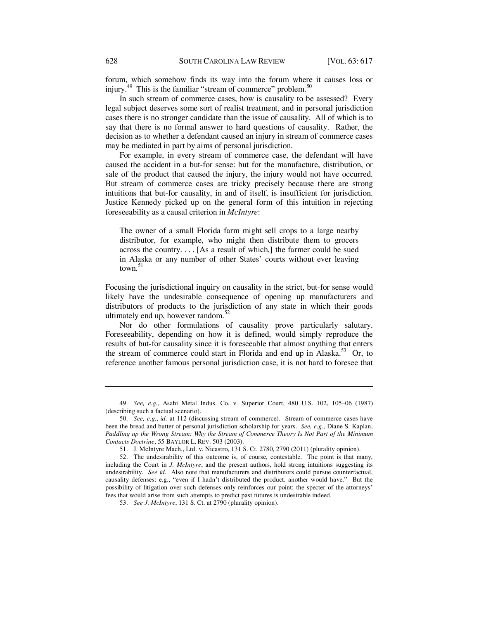forum, which somehow finds its way into the forum where it causes loss or injury. $49$  This is the familiar "stream of commerce" problem. $50$ 

In such stream of commerce cases, how is causality to be assessed? Every legal subject deserves some sort of realist treatment, and in personal jurisdiction cases there is no stronger candidate than the issue of causality. All of which is to say that there is no formal answer to hard questions of causality. Rather, the decision as to whether a defendant caused an injury in stream of commerce cases may be mediated in part by aims of personal jurisdiction.

For example, in every stream of commerce case, the defendant will have caused the accident in a but-for sense: but for the manufacture, distribution, or sale of the product that caused the injury, the injury would not have occurred. But stream of commerce cases are tricky precisely because there are strong intuitions that but-for causality, in and of itself, is insufficient for jurisdiction. Justice Kennedy picked up on the general form of this intuition in rejecting foreseeability as a causal criterion in *McIntyre*:

The owner of a small Florida farm might sell crops to a large nearby distributor, for example, who might then distribute them to grocers across the country. . . . [As a result of which,] the farmer could be sued in Alaska or any number of other States' courts without ever leaving town. $51$ 

Focusing the jurisdictional inquiry on causality in the strict, but-for sense would likely have the undesirable consequence of opening up manufacturers and distributors of products to the jurisdiction of any state in which their goods ultimately end up, however random. $52$ 

Nor do other formulations of causality prove particularly salutary. Foreseeability, depending on how it is defined, would simply reproduce the results of but-for causality since it is foreseeable that almost anything that enters the stream of commerce could start in Florida and end up in Alaska.<sup>53</sup> Or, to reference another famous personal jurisdiction case, it is not hard to foresee that

<sup>49.</sup> *See, e.g.*, Asahi Metal Indus. Co. v. Superior Court, 480 U.S. 102, 105–06 (1987) (describing such a factual scenario).

<sup>50.</sup> *See, e.g.*, *id.* at 112 (discussing stream of commerce). Stream of commerce cases have been the bread and butter of personal jurisdiction scholarship for years. *See, e.g.*, Diane S. Kaplan, *Paddling up the Wrong Stream: Why the Stream of Commerce Theory Is Not Part of the Minimum Contacts Doctrine*, 55 BAYLOR L. REV. 503 (2003).

<sup>51.</sup> J. McIntyre Mach., Ltd. v. Nicastro, 131 S. Ct. 2780, 2790 (2011) (plurality opinion).

<sup>52.</sup> The undesirability of this outcome is, of course, contestable. The point is that many, including the Court in *J. McIntyre*, and the present authors, hold strong intuitions suggesting its undesirability. *See id.* Also note that manufacturers and distributors could pursue counterfactual, causality defenses: e.g., "even if I hadn't distributed the product, another would have." But the possibility of litigation over such defenses only reinforces our point: the specter of the attorneys' fees that would arise from such attempts to predict past futures is undesirable indeed.

<sup>53.</sup> *See J. McIntyre*, 131 S. Ct. at 2790 (plurality opinion).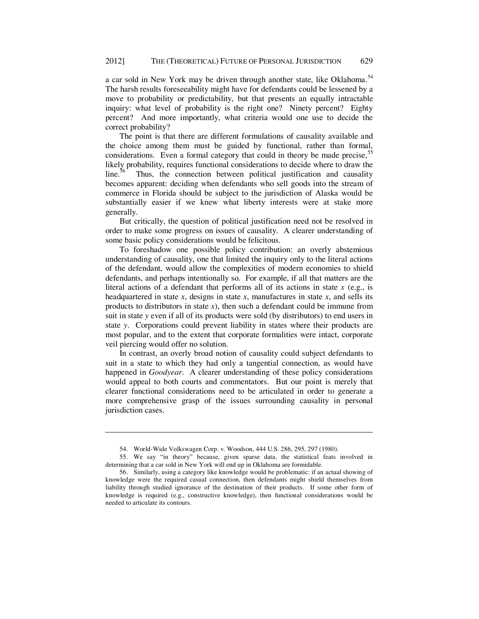a car sold in New York may be driven through another state, like Oklahoma.<sup>54</sup> The harsh results foreseeability might have for defendants could be lessened by a move to probability or predictability, but that presents an equally intractable inquiry: what level of probability is the right one? Ninety percent? Eighty percent? And more importantly, what criteria would one use to decide the correct probability?

The point is that there are different formulations of causality available and the choice among them must be guided by functional, rather than formal, considerations. Even a formal category that could in theory be made precise,<sup>55</sup> likely probability, requires functional considerations to decide where to draw the line. $56$  Thus, the connection between political justification and causality becomes apparent: deciding when defendants who sell goods into the stream of commerce in Florida should be subject to the jurisdiction of Alaska would be substantially easier if we knew what liberty interests were at stake more generally.

But critically, the question of political justification need not be resolved in order to make some progress on issues of causality. A clearer understanding of some basic policy considerations would be felicitous.

To foreshadow one possible policy contribution: an overly abstemious understanding of causality, one that limited the inquiry only to the literal actions of the defendant, would allow the complexities of modern economies to shield defendants, and perhaps intentionally so. For example, if all that matters are the literal actions of a defendant that performs all of its actions in state  $x$  (e.g., is headquartered in state *x*, designs in state *x*, manufactures in state *x*, and sells its products to distributors in state  $x$ ), then such a defendant could be immune from suit in state *y* even if all of its products were sold (by distributors) to end users in state *y*. Corporations could prevent liability in states where their products are most popular, and to the extent that corporate formalities were intact, corporate veil piercing would offer no solution.

In contrast, an overly broad notion of causality could subject defendants to suit in a state to which they had only a tangential connection, as would have happened in *Goodyear*. A clearer understanding of these policy considerations would appeal to both courts and commentators. But our point is merely that clearer functional considerations need to be articulated in order to generate a more comprehensive grasp of the issues surrounding causality in personal jurisdiction cases.

<sup>54.</sup> World-Wide Volkswagen Corp. v. Woodson, 444 U.S. 286, 295, 297 (1980).

<sup>55.</sup> We say "in theory" because, given sparse data, the statistical feats involved in determining that a car sold in New York will end up in Oklahoma are formidable.

<sup>56.</sup> Similarly, using a category like knowledge would be problematic: if an actual showing of knowledge were the required casual connection, then defendants might shield themselves from liability through studied ignorance of the destination of their products. If some other form of knowledge is required (e.g., constructive knowledge), then functional considerations would be needed to articulate its contours.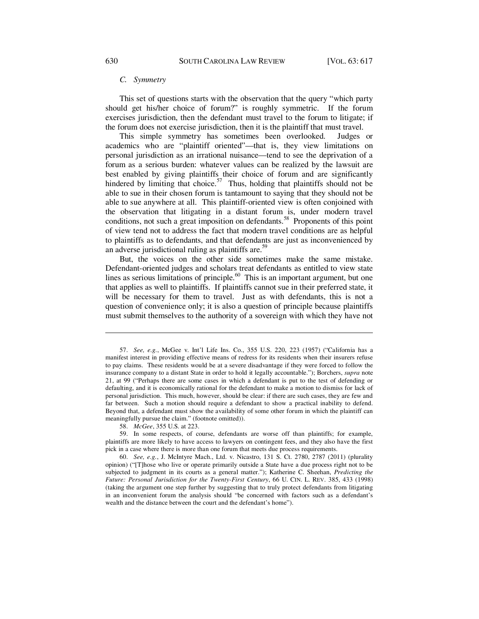#### *C. Symmetry*

This set of questions starts with the observation that the query "which party should get his/her choice of forum?" is roughly symmetric. If the forum exercises jurisdiction, then the defendant must travel to the forum to litigate; if the forum does not exercise jurisdiction, then it is the plaintiff that must travel.

This simple symmetry has sometimes been overlooked. Judges or academics who are "plaintiff oriented"—that is, they view limitations on personal jurisdiction as an irrational nuisance—tend to see the deprivation of a forum as a serious burden: whatever values can be realized by the lawsuit are best enabled by giving plaintiffs their choice of forum and are significantly hindered by limiting that choice.<sup>57</sup> Thus, holding that plaintiffs should not be able to sue in their chosen forum is tantamount to saying that they should not be able to sue anywhere at all. This plaintiff-oriented view is often conjoined with the observation that litigating in a distant forum is, under modern travel conditions, not such a great imposition on defendants.<sup>58</sup> Proponents of this point of view tend not to address the fact that modern travel conditions are as helpful to plaintiffs as to defendants, and that defendants are just as inconvenienced by an adverse jurisdictional ruling as plaintiffs are.<sup>59</sup>

But, the voices on the other side sometimes make the same mistake. Defendant-oriented judges and scholars treat defendants as entitled to view state lines as serious limitations of principle. $60$  This is an important argument, but one that applies as well to plaintiffs. If plaintiffs cannot sue in their preferred state, it will be necessary for them to travel. Just as with defendants, this is not a question of convenience only; it is also a question of principle because plaintiffs must submit themselves to the authority of a sovereign with which they have not

58. *McGee*, 355 U.S. at 223.

<sup>57.</sup> *See, e.g.*, McGee v. Int'l Life Ins. Co., 355 U.S. 220, 223 (1957) ("California has a manifest interest in providing effective means of redress for its residents when their insurers refuse to pay claims. These residents would be at a severe disadvantage if they were forced to follow the insurance company to a distant State in order to hold it legally accountable."); Borchers, *supra* note 21, at 99 ("Perhaps there are some cases in which a defendant is put to the test of defending or defaulting, and it is economically rational for the defendant to make a motion to dismiss for lack of personal jurisdiction. This much, however, should be clear: if there are such cases, they are few and far between. Such a motion should require a defendant to show a practical inability to defend. Beyond that, a defendant must show the availability of some other forum in which the plaintiff can meaningfully pursue the claim." (footnote omitted)).

<sup>59.</sup> In some respects, of course, defendants are worse off than plaintiffs; for example, plaintiffs are more likely to have access to lawyers on contingent fees, and they also have the first pick in a case where there is more than one forum that meets due process requirements.

<sup>60.</sup> *See, e.g.*, J. McIntyre Mach., Ltd. v. Nicastro, 131 S. Ct. 2780, 2787 (2011) (plurality opinion) ("[T]hose who live or operate primarily outside a State have a due process right not to be subjected to judgment in its courts as a general matter."); Katherine C. Sheehan, *Predicting the Future: Personal Jurisdiction for the Twenty-First Century*, 66 U. CIN. L. REV. 385, 433 (1998) (taking the argument one step further by suggesting that to truly protect defendants from litigating in an inconvenient forum the analysis should "be concerned with factors such as a defendant's wealth and the distance between the court and the defendant's home").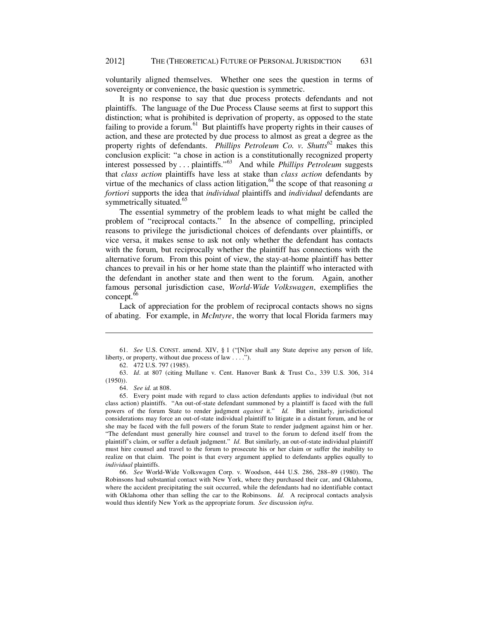voluntarily aligned themselves. Whether one sees the question in terms of sovereignty or convenience, the basic question is symmetric.

It is no response to say that due process protects defendants and not plaintiffs. The language of the Due Process Clause seems at first to support this distinction; what is prohibited is deprivation of property, as opposed to the state failing to provide a forum. $61$  But plaintiffs have property rights in their causes of action, and these are protected by due process to almost as great a degree as the property rights of defendants. *Phillips Petroleum Co. v. Shutts*<sup>62</sup> makes this conclusion explicit: "a chose in action is a constitutionally recognized property interest possessed by . . . plaintiffs."63 And while *Phillips Petroleum* suggests that *class action* plaintiffs have less at stake than *class action* defendants by virtue of the mechanics of class action litigation,  $64$  the scope of that reasoning *a fortiori* supports the idea that *individual* plaintiffs and *individual* defendants are symmetrically situated.<sup>65</sup>

The essential symmetry of the problem leads to what might be called the problem of "reciprocal contacts." In the absence of compelling, principled reasons to privilege the jurisdictional choices of defendants over plaintiffs, or vice versa, it makes sense to ask not only whether the defendant has contacts with the forum, but reciprocally whether the plaintiff has connections with the alternative forum. From this point of view, the stay-at-home plaintiff has better chances to prevail in his or her home state than the plaintiff who interacted with the defendant in another state and then went to the forum. Again, another famous personal jurisdiction case, *World-Wide Volkswagen*, exemplifies the concept.<sup>66</sup>

Lack of appreciation for the problem of reciprocal contacts shows no signs of abating. For example, in *McIntyre*, the worry that local Florida farmers may

<sup>61.</sup> *See* U.S. CONST. amend. XIV, § 1 ("[N]or shall any State deprive any person of life, liberty, or property, without due process of law . . . .").

<sup>62. 472</sup> U.S. 797 (1985).

<sup>63.</sup> *Id.* at 807 (citing Mullane v. Cent. Hanover Bank & Trust Co., 339 U.S. 306, 314 (1950)).

<sup>64.</sup> *See id.* at 808.

<sup>65.</sup> Every point made with regard to class action defendants applies to individual (but not class action) plaintiffs. "An out-of-state defendant summoned by a plaintiff is faced with the full powers of the forum State to render judgment *against* it." *Id.* But similarly, jurisdictional considerations may force an out-of-state individual plaintiff to litigate in a distant forum, and he or she may be faced with the full powers of the forum State to render judgment against him or her. "The defendant must generally hire counsel and travel to the forum to defend itself from the plaintiff's claim, or suffer a default judgment." *Id.* But similarly, an out-of-state individual plaintiff must hire counsel and travel to the forum to prosecute his or her claim or suffer the inability to realize on that claim. The point is that every argument applied to defendants applies equally to *individual* plaintiffs.

<sup>66.</sup> *See* World-Wide Volkswagen Corp. v. Woodson, 444 U.S. 286, 288–89 (1980). The Robinsons had substantial contact with New York, where they purchased their car, and Oklahoma, where the accident precipitating the suit occurred, while the defendants had no identifiable contact with Oklahoma other than selling the car to the Robinsons. *Id.* A reciprocal contacts analysis would thus identify New York as the appropriate forum. *See* discussion *infra*.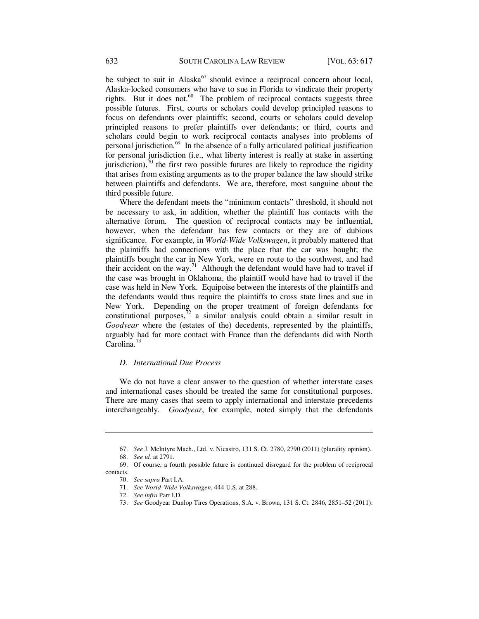be subject to suit in Alaska $^{67}$  should evince a reciprocal concern about local, Alaska-locked consumers who have to sue in Florida to vindicate their property rights. But it does not. $68$  The problem of reciprocal contacts suggests three possible futures. First, courts or scholars could develop principled reasons to focus on defendants over plaintiffs; second, courts or scholars could develop principled reasons to prefer plaintiffs over defendants; or third, courts and scholars could begin to work reciprocal contacts analyses into problems of personal jurisdiction. $69$  In the absence of a fully articulated political justification for personal jurisdiction (i.e., what liberty interest is really at stake in asserting jurisdiction), $\bar{r}$ <sup>0</sup> the first two possible futures are likely to reproduce the rigidity that arises from existing arguments as to the proper balance the law should strike between plaintiffs and defendants. We are, therefore, most sanguine about the third possible future.

Where the defendant meets the "minimum contacts" threshold, it should not be necessary to ask, in addition, whether the plaintiff has contacts with the alternative forum. The question of reciprocal contacts may be influential, however, when the defendant has few contacts or they are of dubious significance. For example, in *World-Wide Volkswagen*, it probably mattered that the plaintiffs had connections with the place that the car was bought; the plaintiffs bought the car in New York, were en route to the southwest, and had their accident on the way.<sup>71</sup> Although the defendant would have had to travel if the case was brought in Oklahoma, the plaintiff would have had to travel if the case was held in New York. Equipoise between the interests of the plaintiffs and the defendants would thus require the plaintiffs to cross state lines and sue in New York. Depending on the proper treatment of foreign defendants for constitutional purposes, $72$  a similar analysis could obtain a similar result in *Goodyear* where the (estates of the) decedents, represented by the plaintiffs, arguably had far more contact with France than the defendants did with North Carolina.<sup>73</sup>

#### *D. International Due Process*

We do not have a clear answer to the question of whether interstate cases and international cases should be treated the same for constitutional purposes. There are many cases that seem to apply international and interstate precedents interchangeably. *Goodyear*, for example, noted simply that the defendants

<sup>67.</sup> *See* J. McIntyre Mach., Ltd. v. Nicastro, 131 S. Ct. 2780, 2790 (2011) (plurality opinion).

<sup>68.</sup> *See id.* at 2791.

<sup>69.</sup> Of course, a fourth possible future is continued disregard for the problem of reciprocal contacts.

<sup>70.</sup> *See supra* Part I.A.

<sup>71.</sup> *See World-Wide Volkswagen*, 444 U.S. at 288.

<sup>72.</sup> *See infra* Part I.D.

<sup>73.</sup> *See* Goodyear Dunlop Tires Operations, S.A. v. Brown, 131 S. Ct. 2846, 2851–52 (2011).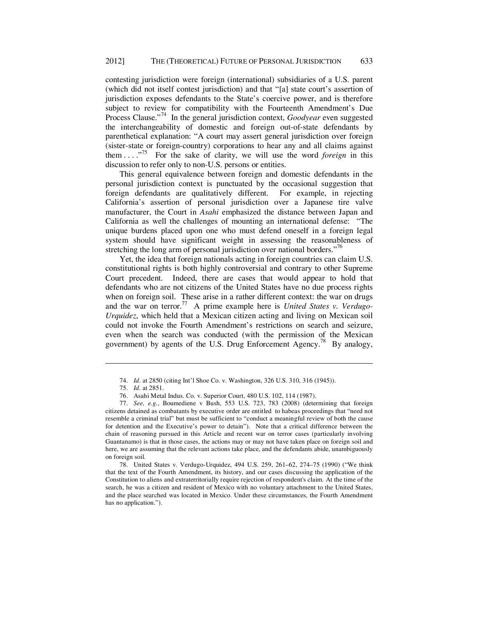contesting jurisdiction were foreign (international) subsidiaries of a U.S. parent (which did not itself contest jurisdiction) and that "[a] state court's assertion of jurisdiction exposes defendants to the State's coercive power, and is therefore subject to review for compatibility with the Fourteenth Amendment's Due Process Clause."74 In the general jurisdiction context, *Goodyear* even suggested the interchangeability of domestic and foreign out-of-state defendants by parenthetical explanation: "A court may assert general jurisdiction over foreign (sister-state or foreign-country) corporations to hear any and all claims against them . . . ."75 For the sake of clarity, we will use the word *foreign* in this discussion to refer only to non-U.S. persons or entities.

This general equivalence between foreign and domestic defendants in the personal jurisdiction context is punctuated by the occasional suggestion that foreign defendants are qualitatively different. For example, in rejecting California's assertion of personal jurisdiction over a Japanese tire valve manufacturer, the Court in *Asahi* emphasized the distance between Japan and California as well the challenges of mounting an international defense: "The unique burdens placed upon one who must defend oneself in a foreign legal system should have significant weight in assessing the reasonableness of stretching the long arm of personal jurisdiction over national borders."<sup>76</sup>

Yet, the idea that foreign nationals acting in foreign countries can claim U.S. constitutional rights is both highly controversial and contrary to other Supreme Court precedent. Indeed, there are cases that would appear to hold that defendants who are not citizens of the United States have no due process rights when on foreign soil. These arise in a rather different context: the war on drugs and the war on terror.<sup>77</sup> A prime example here is *United States v. Verdugo-Urquidez*, which held that a Mexican citizen acting and living on Mexican soil could not invoke the Fourth Amendment's restrictions on search and seizure, even when the search was conducted (with the permission of the Mexican government) by agents of the U.S. Drug Enforcement Agency.<sup>78</sup> By analogy,

<sup>74.</sup> *Id.* at 2850 (citing Int'l Shoe Co. v. Washington, 326 U.S. 310, 316 (1945)).

<sup>75.</sup> *Id.* at 2851.

<sup>76.</sup> Asahi Metal Indus. Co. v. Superior Court, 480 U.S. 102, 114 (1987).

<sup>77.</sup> *See, e.g.*, Boumediene v Bush, 553 U.S. 723, 783 (2008) (determining that foreign citizens detained as combatants by executive order are entitled to habeas proceedings that "need not resemble a criminal trial" but must be sufficient to "conduct a meaningful review of both the cause for detention and the Executive's power to detain"). Note that a critical difference between the chain of reasoning pursued in this Article and recent war on terror cases (particularly involving Guantanamo) is that in those cases, the actions may or may not have taken place on foreign soil and here, we are assuming that the relevant actions take place, and the defendants abide, unambiguously on foreign soil.

<sup>78.</sup> United States v. Verdugo-Urquidez, 494 U.S. 259, 261–62, 274–75 (1990) ("We think that the text of the Fourth Amendment, its history, and our cases discussing the application of the Constitution to aliens and extraterritorially require rejection of respondent's claim. At the time of the search, he was a citizen and resident of Mexico with no voluntary attachment to the United States, and the place searched was located in Mexico. Under these circumstances, the Fourth Amendment has no application.").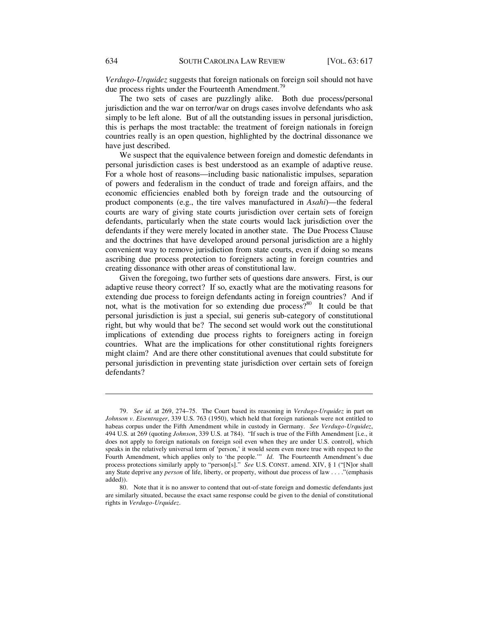*Verdugo-Urquidez* suggests that foreign nationals on foreign soil should not have due process rights under the Fourteenth Amendment.<sup>79</sup>

The two sets of cases are puzzlingly alike. Both due process/personal jurisdiction and the war on terror/war on drugs cases involve defendants who ask simply to be left alone. But of all the outstanding issues in personal jurisdiction, this is perhaps the most tractable: the treatment of foreign nationals in foreign countries really is an open question, highlighted by the doctrinal dissonance we have just described.

We suspect that the equivalence between foreign and domestic defendants in personal jurisdiction cases is best understood as an example of adaptive reuse. For a whole host of reasons—including basic nationalistic impulses, separation of powers and federalism in the conduct of trade and foreign affairs, and the economic efficiencies enabled both by foreign trade and the outsourcing of product components (e.g., the tire valves manufactured in *Asahi*)—the federal courts are wary of giving state courts jurisdiction over certain sets of foreign defendants, particularly when the state courts would lack jurisdiction over the defendants if they were merely located in another state. The Due Process Clause and the doctrines that have developed around personal jurisdiction are a highly convenient way to remove jurisdiction from state courts, even if doing so means ascribing due process protection to foreigners acting in foreign countries and creating dissonance with other areas of constitutional law.

Given the foregoing, two further sets of questions dare answers. First, is our adaptive reuse theory correct? If so, exactly what are the motivating reasons for extending due process to foreign defendants acting in foreign countries? And if not, what is the motivation for so extending due process? $80$  It could be that personal jurisdiction is just a special, sui generis sub-category of constitutional right, but why would that be? The second set would work out the constitutional implications of extending due process rights to foreigners acting in foreign countries. What are the implications for other constitutional rights foreigners might claim? And are there other constitutional avenues that could substitute for personal jurisdiction in preventing state jurisdiction over certain sets of foreign defendants?

<sup>79.</sup> *See id.* at 269, 274–75. The Court based its reasoning in *Verdugo-Urquidez* in part on *Johnson v. Eisentrager*, 339 U.S. 763 (1950), which held that foreign nationals were not entitled to habeas corpus under the Fifth Amendment while in custody in Germany. *See Verdugo-Urquidez*, 494 U.S. at 269 (quoting *Johnson*, 339 U.S. at 784). "If such is true of the Fifth Amendment [i.e., it does not apply to foreign nationals on foreign soil even when they are under U.S. control], which speaks in the relatively universal term of 'person,' it would seem even more true with respect to the Fourth Amendment, which applies only to 'the people.'" *Id.* The Fourteenth Amendment's due process protections similarly apply to "person[s]." *See* U.S. CONST. amend. XIV, § 1 ("[N]or shall any State deprive any *person* of life, liberty, or property, without due process of law . . . ."(emphasis added)).

<sup>80.</sup> Note that it is no answer to contend that out-of-state foreign and domestic defendants just are similarly situated, because the exact same response could be given to the denial of constitutional rights in *Verdugo-Urquidez*.